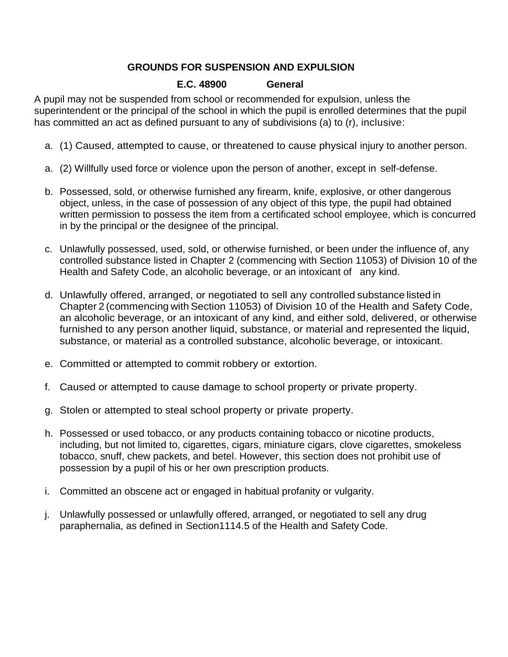# **GROUNDS FOR SUSPENSION AND EXPULSION**

# **E.C. 48900 General**

A pupil may not be suspended from school or recommended for expulsion, unless the superintendent or the principal of the school in which the pupil is enrolled determines that the pupil has committed an act as defined pursuant to any of subdivisions (a) to (r), inclusive:

- a. (1) Caused, attempted to cause, or threatened to cause physical injury to another person.
- a. (2) Willfully used force or violence upon the person of another, except in self-defense.
- b. Possessed, sold, or otherwise furnished any firearm, knife, explosive, or other dangerous object, unless, in the case of possession of any object of this type, the pupil had obtained written permission to possess the item from a certificated school employee, which is concurred in by the principal or the designee of the principal.
- c. Unlawfully possessed, used, sold, or otherwise furnished, or been under the influence of, any controlled substance listed in Chapter 2 (commencing with Section 11053) of Division 10 of the Health and Safety Code, an alcoholic beverage, or an intoxicant of any kind.
- d. Unlawfully offered, arranged, or negotiated to sell any controlled substance listed in Chapter 2 (commencing with Section 11053) of Division 10 of the Health and Safety Code, an alcoholic beverage, or an intoxicant of any kind, and either sold, delivered, or otherwise furnished to any person another liquid, substance, or material and represented the liquid, substance, or material as a controlled substance, alcoholic beverage, or intoxicant.
- e. Committed or attempted to commit robbery or extortion.
- f. Caused or attempted to cause damage to school property or private property.
- g. Stolen or attempted to steal school property or private property.
- h. Possessed or used tobacco, or any products containing tobacco or nicotine products, including, but not limited to, cigarettes, cigars, miniature cigars, clove cigarettes, smokeless tobacco, snuff, chew packets, and betel. However, this section does not prohibit use of possession by a pupil of his or her own prescription products.
- i. Committed an obscene act or engaged in habitual profanity or vulgarity.
- j. Unlawfully possessed or unlawfully offered, arranged, or negotiated to sell any drug paraphernalia, as defined in Section1114.5 of the Health and Safety Code.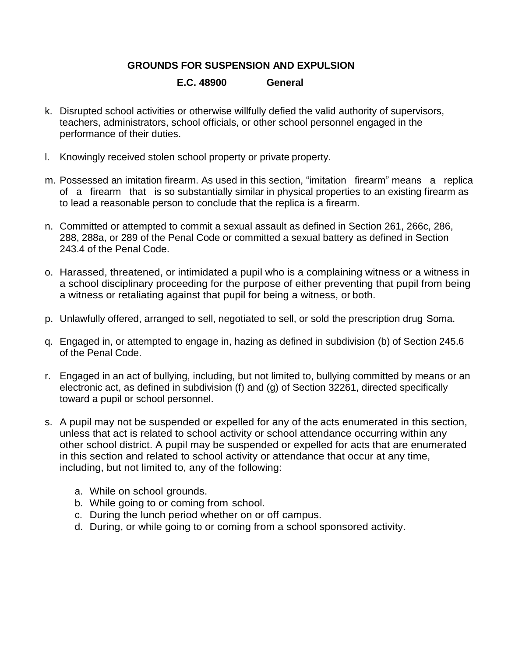## **GROUNDS FOR SUSPENSION AND EXPULSION**

#### **E.C. 48900 General**

- k. Disrupted school activities or otherwise willfully defied the valid authority of supervisors, teachers, administrators, school officials, or other school personnel engaged in the performance of their duties.
- l. Knowingly received stolen school property or private property.
- m. Possessed an imitation firearm. As used in this section, "imitation firearm" means a replica of a firearm that is so substantially similar in physical properties to an existing firearm as to lead a reasonable person to conclude that the replica is a firearm.
- n. Committed or attempted to commit a sexual assault as defined in Section 261, 266c, 286, 288, 288a, or 289 of the Penal Code or committed a sexual battery as defined in Section 243.4 of the Penal Code.
- o. Harassed, threatened, or intimidated a pupil who is a complaining witness or a witness in a school disciplinary proceeding for the purpose of either preventing that pupil from being a witness or retaliating against that pupil for being a witness, or both.
- p. Unlawfully offered, arranged to sell, negotiated to sell, or sold the prescription drug Soma.
- q. Engaged in, or attempted to engage in, hazing as defined in subdivision (b) of Section 245.6 of the Penal Code.
- r. Engaged in an act of bullying, including, but not limited to, bullying committed by means or an electronic act, as defined in subdivision (f) and (g) of Section 32261, directed specifically toward a pupil or school personnel.
- s. A pupil may not be suspended or expelled for any of the acts enumerated in this section, unless that act is related to school activity or school attendance occurring within any other school district. A pupil may be suspended or expelled for acts that are enumerated in this section and related to school activity or attendance that occur at any time, including, but not limited to, any of the following:
	- a. While on school grounds.
	- b. While going to or coming from school.
	- c. During the lunch period whether on or off campus.
	- d. During, or while going to or coming from a school sponsored activity.